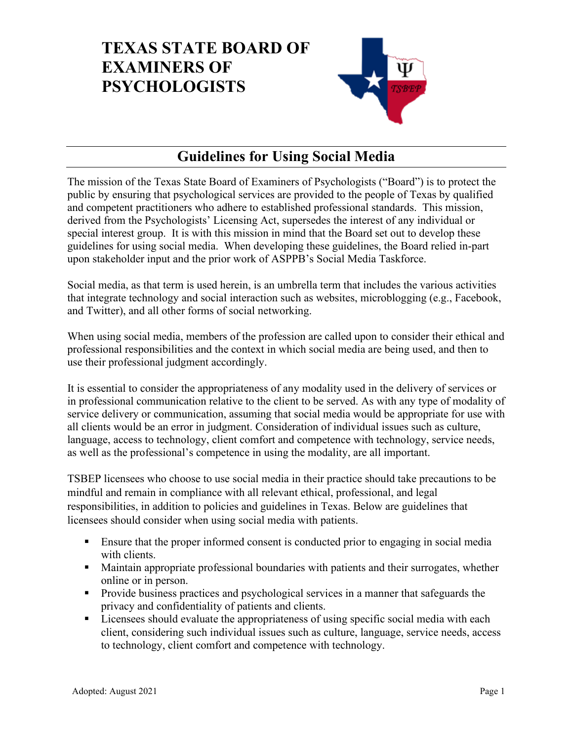## **TEXAS STATE BOARD OF EXAMINERS OF PSYCHOLOGISTS**



## **Guidelines for Using Social Media**

The mission of the Texas State Board of Examiners of Psychologists ("Board") is to protect the public by ensuring that psychological services are provided to the people of Texas by qualified and competent practitioners who adhere to established professional standards. This mission, derived from the Psychologists' Licensing Act, supersedes the interest of any individual or special interest group. It is with this mission in mind that the Board set out to develop these guidelines for using social media. When developing these guidelines, the Board relied in-part upon stakeholder input and the prior work of ASPPB's Social Media Taskforce.

Social media, as that term is used herein, is an umbrella term that includes the various activities that integrate technology and social interaction such as websites, microblogging (e.g., Facebook, and Twitter), and all other forms of social networking.

When using social media, members of the profession are called upon to consider their ethical and professional responsibilities and the context in which social media are being used, and then to use their professional judgment accordingly.

It is essential to consider the appropriateness of any modality used in the delivery of services or in professional communication relative to the client to be served. As with any type of modality of service delivery or communication, assuming that social media would be appropriate for use with all clients would be an error in judgment. Consideration of individual issues such as culture, language, access to technology, client comfort and competence with technology, service needs, as well as the professional's competence in using the modality, are all important.

TSBEP licensees who choose to use social media in their practice should take precautions to be mindful and remain in compliance with all relevant ethical, professional, and legal responsibilities, in addition to policies and guidelines in Texas. Below are guidelines that licensees should consider when using social media with patients.

- Ensure that the proper informed consent is conducted prior to engaging in social media with clients.
- Maintain appropriate professional boundaries with patients and their surrogates, whether online or in person.
- **Provide business practices and psychological services in a manner that safeguards the** privacy and confidentiality of patients and clients.
- **Licensees should evaluate the appropriateness of using specific social media with each** client, considering such individual issues such as culture, language, service needs, access to technology, client comfort and competence with technology.